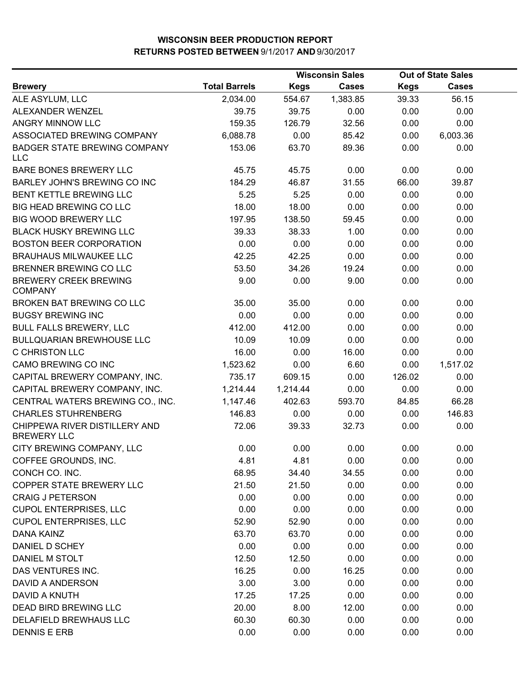|                                                     |                      | <b>Wisconsin Sales</b> |              | <b>Out of State Sales</b> |              |  |
|-----------------------------------------------------|----------------------|------------------------|--------------|---------------------------|--------------|--|
| <b>Brewery</b>                                      | <b>Total Barrels</b> | <b>Kegs</b>            | <b>Cases</b> | <b>Kegs</b>               | <b>Cases</b> |  |
| ALE ASYLUM, LLC                                     | 2,034.00             | 554.67                 | 1,383.85     | 39.33                     | 56.15        |  |
| ALEXANDER WENZEL                                    | 39.75                | 39.75                  | 0.00         | 0.00                      | 0.00         |  |
| <b>ANGRY MINNOW LLC</b>                             | 159.35               | 126.79                 | 32.56        | 0.00                      | 0.00         |  |
| ASSOCIATED BREWING COMPANY                          | 6,088.78             | 0.00                   | 85.42        | 0.00                      | 6,003.36     |  |
| BADGER STATE BREWING COMPANY<br><b>LLC</b>          | 153.06               | 63.70                  | 89.36        | 0.00                      | 0.00         |  |
| <b>BARE BONES BREWERY LLC</b>                       | 45.75                | 45.75                  | 0.00         | 0.00                      | 0.00         |  |
| BARLEY JOHN'S BREWING CO INC                        | 184.29               | 46.87                  | 31.55        | 66.00                     | 39.87        |  |
| BENT KETTLE BREWING LLC                             | 5.25                 | 5.25                   | 0.00         | 0.00                      | 0.00         |  |
| BIG HEAD BREWING CO LLC                             | 18.00                | 18.00                  | 0.00         | 0.00                      | 0.00         |  |
| <b>BIG WOOD BREWERY LLC</b>                         | 197.95               | 138.50                 | 59.45        | 0.00                      | 0.00         |  |
| <b>BLACK HUSKY BREWING LLC</b>                      | 39.33                | 38.33                  | 1.00         | 0.00                      | 0.00         |  |
| <b>BOSTON BEER CORPORATION</b>                      | 0.00                 | 0.00                   | 0.00         | 0.00                      | 0.00         |  |
| <b>BRAUHAUS MILWAUKEE LLC</b>                       | 42.25                | 42.25                  | 0.00         | 0.00                      | 0.00         |  |
| BRENNER BREWING CO LLC                              | 53.50                | 34.26                  | 19.24        | 0.00                      | 0.00         |  |
| <b>BREWERY CREEK BREWING</b><br><b>COMPANY</b>      | 9.00                 | 0.00                   | 9.00         | 0.00                      | 0.00         |  |
| BROKEN BAT BREWING CO LLC                           | 35.00                | 35.00                  | 0.00         | 0.00                      | 0.00         |  |
| <b>BUGSY BREWING INC</b>                            | 0.00                 | 0.00                   | 0.00         | 0.00                      | 0.00         |  |
| <b>BULL FALLS BREWERY, LLC</b>                      | 412.00               | 412.00                 | 0.00         | 0.00                      | 0.00         |  |
| <b>BULLQUARIAN BREWHOUSE LLC</b>                    | 10.09                | 10.09                  | 0.00         | 0.00                      | 0.00         |  |
| C CHRISTON LLC                                      | 16.00                | 0.00                   | 16.00        | 0.00                      | 0.00         |  |
| CAMO BREWING CO INC                                 | 1,523.62             | 0.00                   | 6.60         | 0.00                      | 1,517.02     |  |
| CAPITAL BREWERY COMPANY, INC.                       | 735.17               | 609.15                 | 0.00         | 126.02                    | 0.00         |  |
| CAPITAL BREWERY COMPANY, INC.                       | 1,214.44             | 1,214.44               | 0.00         | 0.00                      | 0.00         |  |
| CENTRAL WATERS BREWING CO., INC.                    | 1,147.46             | 402.63                 | 593.70       | 84.85                     | 66.28        |  |
| <b>CHARLES STUHRENBERG</b>                          | 146.83               | 0.00                   | 0.00         | 0.00                      | 146.83       |  |
| CHIPPEWA RIVER DISTILLERY AND<br><b>BREWERY LLC</b> | 72.06                | 39.33                  | 32.73        | 0.00                      | 0.00         |  |
| CITY BREWING COMPANY, LLC                           | 0.00                 | 0.00                   | 0.00         | 0.00                      | 0.00         |  |
| COFFEE GROUNDS, INC.                                | 4.81                 | 4.81                   | 0.00         | 0.00                      | 0.00         |  |
| CONCH CO. INC.                                      | 68.95                | 34.40                  | 34.55        | 0.00                      | 0.00         |  |
| COPPER STATE BREWERY LLC                            | 21.50                | 21.50                  | 0.00         | 0.00                      | 0.00         |  |
| <b>CRAIG J PETERSON</b>                             | 0.00                 | 0.00                   | 0.00         | 0.00                      | 0.00         |  |
| <b>CUPOL ENTERPRISES, LLC</b>                       | 0.00                 | 0.00                   | 0.00         | 0.00                      | 0.00         |  |
| <b>CUPOL ENTERPRISES, LLC</b>                       | 52.90                | 52.90                  | 0.00         | 0.00                      | 0.00         |  |
| <b>DANA KAINZ</b>                                   | 63.70                | 63.70                  | 0.00         | 0.00                      | 0.00         |  |
| DANIEL D SCHEY                                      | 0.00                 | 0.00                   | 0.00         | 0.00                      | 0.00         |  |
| DANIEL M STOLT                                      | 12.50                | 12.50                  | 0.00         | 0.00                      | 0.00         |  |
| DAS VENTURES INC.                                   | 16.25                | 0.00                   | 16.25        | 0.00                      | 0.00         |  |
| DAVID A ANDERSON                                    | 3.00                 | 3.00                   | 0.00         | 0.00                      | 0.00         |  |
| DAVID A KNUTH                                       | 17.25                | 17.25                  | 0.00         | 0.00                      | 0.00         |  |
| DEAD BIRD BREWING LLC                               | 20.00                | 8.00                   | 12.00        | 0.00                      | 0.00         |  |
| DELAFIELD BREWHAUS LLC                              | 60.30                | 60.30                  | 0.00         | 0.00                      | 0.00         |  |
| <b>DENNIS E ERB</b>                                 | 0.00                 | 0.00                   | 0.00         | 0.00                      | 0.00         |  |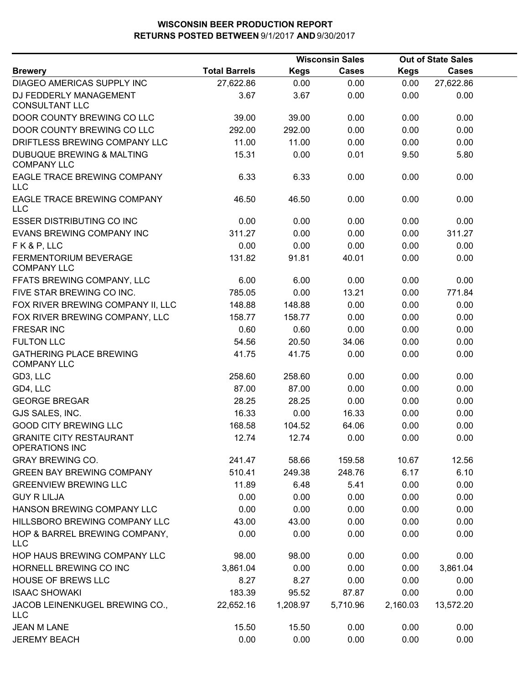|                                                            |                      | <b>Wisconsin Sales</b> |              |             | <b>Out of State Sales</b> |  |
|------------------------------------------------------------|----------------------|------------------------|--------------|-------------|---------------------------|--|
| <b>Brewery</b>                                             | <b>Total Barrels</b> | <b>Kegs</b>            | <b>Cases</b> | <b>Kegs</b> | <b>Cases</b>              |  |
| DIAGEO AMERICAS SUPPLY INC                                 | 27,622.86            | 0.00                   | 0.00         | 0.00        | 27,622.86                 |  |
| DJ FEDDERLY MANAGEMENT<br><b>CONSULTANT LLC</b>            | 3.67                 | 3.67                   | 0.00         | 0.00        | 0.00                      |  |
| DOOR COUNTY BREWING CO LLC                                 | 39.00                | 39.00                  | 0.00         | 0.00        | 0.00                      |  |
| DOOR COUNTY BREWING CO LLC                                 | 292.00               | 292.00                 | 0.00         | 0.00        | 0.00                      |  |
| DRIFTLESS BREWING COMPANY LLC                              | 11.00                | 11.00                  | 0.00         | 0.00        | 0.00                      |  |
| <b>DUBUQUE BREWING &amp; MALTING</b><br><b>COMPANY LLC</b> | 15.31                | 0.00                   | 0.01         | 9.50        | 5.80                      |  |
| EAGLE TRACE BREWING COMPANY<br>LLC                         | 6.33                 | 6.33                   | 0.00         | 0.00        | 0.00                      |  |
| EAGLE TRACE BREWING COMPANY<br>LLC                         | 46.50                | 46.50                  | 0.00         | 0.00        | 0.00                      |  |
| <b>ESSER DISTRIBUTING CO INC</b>                           | 0.00                 | 0.00                   | 0.00         | 0.00        | 0.00                      |  |
| EVANS BREWING COMPANY INC                                  | 311.27               | 0.00                   | 0.00         | 0.00        | 311.27                    |  |
| FK&P, LLC                                                  | 0.00                 | 0.00                   | 0.00         | 0.00        | 0.00                      |  |
| FERMENTORIUM BEVERAGE<br><b>COMPANY LLC</b>                | 131.82               | 91.81                  | 40.01        | 0.00        | 0.00                      |  |
| FFATS BREWING COMPANY, LLC                                 | 6.00                 | 6.00                   | 0.00         | 0.00        | 0.00                      |  |
| FIVE STAR BREWING CO INC.                                  | 785.05               | 0.00                   | 13.21        | 0.00        | 771.84                    |  |
| FOX RIVER BREWING COMPANY II, LLC                          | 148.88               | 148.88                 | 0.00         | 0.00        | 0.00                      |  |
| FOX RIVER BREWING COMPANY, LLC                             | 158.77               | 158.77                 | 0.00         | 0.00        | 0.00                      |  |
| <b>FRESAR INC</b>                                          | 0.60                 | 0.60                   | 0.00         | 0.00        | 0.00                      |  |
| <b>FULTON LLC</b>                                          | 54.56                | 20.50                  | 34.06        | 0.00        | 0.00                      |  |
| <b>GATHERING PLACE BREWING</b><br><b>COMPANY LLC</b>       | 41.75                | 41.75                  | 0.00         | 0.00        | 0.00                      |  |
| GD3, LLC                                                   | 258.60               | 258.60                 | 0.00         | 0.00        | 0.00                      |  |
| GD4, LLC                                                   | 87.00                | 87.00                  | 0.00         | 0.00        | 0.00                      |  |
| <b>GEORGE BREGAR</b>                                       | 28.25                | 28.25                  | 0.00         | 0.00        | 0.00                      |  |
| GJS SALES, INC.                                            | 16.33                | 0.00                   | 16.33        | 0.00        | 0.00                      |  |
| <b>GOOD CITY BREWING LLC</b>                               | 168.58               | 104.52                 | 64.06        | 0.00        | 0.00                      |  |
| <b>GRANITE CITY RESTAURANT</b><br>OPERATIONS INC           | 12.74                | 12.74                  | 0.00         | 0.00        | 0.00                      |  |
| <b>GRAY BREWING CO.</b>                                    | 241.47               | 58.66                  | 159.58       | 10.67       | 12.56                     |  |
| <b>GREEN BAY BREWING COMPANY</b>                           | 510.41               | 249.38                 | 248.76       | 6.17        | 6.10                      |  |
| <b>GREENVIEW BREWING LLC</b>                               | 11.89                | 6.48                   | 5.41         | 0.00        | 0.00                      |  |
| <b>GUY R LILJA</b>                                         | 0.00                 | 0.00                   | 0.00         | 0.00        | 0.00                      |  |
| HANSON BREWING COMPANY LLC                                 | 0.00                 | 0.00                   | 0.00         | 0.00        | 0.00                      |  |
| HILLSBORO BREWING COMPANY LLC                              | 43.00                | 43.00                  | 0.00         | 0.00        | 0.00                      |  |
| HOP & BARREL BREWING COMPANY,<br><b>LLC</b>                | 0.00                 | 0.00                   | 0.00         | 0.00        | 0.00                      |  |
| HOP HAUS BREWING COMPANY LLC                               | 98.00                | 98.00                  | 0.00         | 0.00        | 0.00                      |  |
| HORNELL BREWING CO INC                                     | 3,861.04             | 0.00                   | 0.00         | 0.00        | 3,861.04                  |  |
| <b>HOUSE OF BREWS LLC</b>                                  | 8.27                 | 8.27                   | 0.00         | 0.00        | 0.00                      |  |
| <b>ISAAC SHOWAKI</b>                                       | 183.39               | 95.52                  | 87.87        | 0.00        | 0.00                      |  |
| JACOB LEINENKUGEL BREWING CO.,<br><b>LLC</b>               | 22,652.16            | 1,208.97               | 5,710.96     | 2,160.03    | 13,572.20                 |  |
| JEAN M LANE                                                | 15.50                | 15.50                  | 0.00         | 0.00        | 0.00                      |  |
| <b>JEREMY BEACH</b>                                        | 0.00                 | 0.00                   | 0.00         | 0.00        | 0.00                      |  |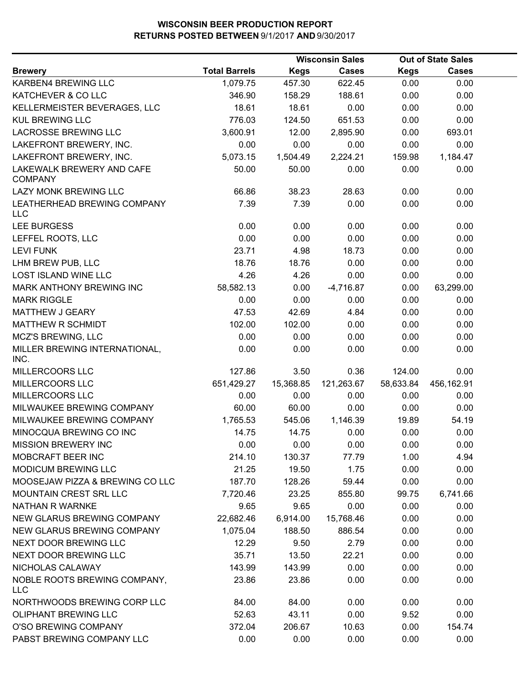|                                             |                      |             | <b>Wisconsin Sales</b> |             | <b>Out of State Sales</b> |  |
|---------------------------------------------|----------------------|-------------|------------------------|-------------|---------------------------|--|
| <b>Brewery</b>                              | <b>Total Barrels</b> | <b>Kegs</b> | <b>Cases</b>           | <b>Kegs</b> | <b>Cases</b>              |  |
| KARBEN4 BREWING LLC                         | 1,079.75             | 457.30      | 622.45                 | 0.00        | 0.00                      |  |
| KATCHEVER & CO LLC                          | 346.90               | 158.29      | 188.61                 | 0.00        | 0.00                      |  |
| KELLERMEISTER BEVERAGES, LLC                | 18.61                | 18.61       | 0.00                   | 0.00        | 0.00                      |  |
| <b>KUL BREWING LLC</b>                      | 776.03               | 124.50      | 651.53                 | 0.00        | 0.00                      |  |
| LACROSSE BREWING LLC                        | 3,600.91             | 12.00       | 2,895.90               | 0.00        | 693.01                    |  |
| LAKEFRONT BREWERY, INC.                     | 0.00                 | 0.00        | 0.00                   | 0.00        | 0.00                      |  |
| LAKEFRONT BREWERY, INC.                     | 5,073.15             | 1,504.49    | 2,224.21               | 159.98      | 1,184.47                  |  |
| LAKEWALK BREWERY AND CAFE<br><b>COMPANY</b> | 50.00                | 50.00       | 0.00                   | 0.00        | 0.00                      |  |
| LAZY MONK BREWING LLC                       | 66.86                | 38.23       | 28.63                  | 0.00        | 0.00                      |  |
| LEATHERHEAD BREWING COMPANY<br><b>LLC</b>   | 7.39                 | 7.39        | 0.00                   | 0.00        | 0.00                      |  |
| <b>LEE BURGESS</b>                          | 0.00                 | 0.00        | 0.00                   | 0.00        | 0.00                      |  |
| LEFFEL ROOTS, LLC                           | 0.00                 | 0.00        | 0.00                   | 0.00        | 0.00                      |  |
| <b>LEVI FUNK</b>                            | 23.71                | 4.98        | 18.73                  | 0.00        | 0.00                      |  |
| LHM BREW PUB, LLC                           | 18.76                | 18.76       | 0.00                   | 0.00        | 0.00                      |  |
| <b>LOST ISLAND WINE LLC</b>                 | 4.26                 | 4.26        | 0.00                   | 0.00        | 0.00                      |  |
| MARK ANTHONY BREWING INC                    | 58,582.13            | 0.00        | $-4,716.87$            | 0.00        | 63,299.00                 |  |
| <b>MARK RIGGLE</b>                          | 0.00                 | 0.00        | 0.00                   | 0.00        | 0.00                      |  |
| MATTHEW J GEARY                             | 47.53                | 42.69       | 4.84                   | 0.00        | 0.00                      |  |
| <b>MATTHEW R SCHMIDT</b>                    | 102.00               | 102.00      | 0.00                   | 0.00        | 0.00                      |  |
| MCZ'S BREWING, LLC                          | 0.00                 | 0.00        | 0.00                   | 0.00        | 0.00                      |  |
| MILLER BREWING INTERNATIONAL,<br>INC.       | 0.00                 | 0.00        | 0.00                   | 0.00        | 0.00                      |  |
| MILLERCOORS LLC                             | 127.86               | 3.50        | 0.36                   | 124.00      | 0.00                      |  |
| MILLERCOORS LLC                             | 651,429.27           | 15,368.85   | 121,263.67             | 58,633.84   | 456,162.91                |  |
| MILLERCOORS LLC                             | 0.00                 | 0.00        | 0.00                   | 0.00        | 0.00                      |  |
| MILWAUKEE BREWING COMPANY                   | 60.00                | 60.00       | 0.00                   | 0.00        | 0.00                      |  |
| MILWAUKEE BREWING COMPANY                   | 1,765.53             | 545.06      | 1,146.39               | 19.89       | 54.19                     |  |
| MINOCQUA BREWING CO INC                     | 14.75                | 14.75       | 0.00                   | 0.00        | 0.00                      |  |
| <b>MISSION BREWERY INC</b>                  | 0.00                 | 0.00        | 0.00                   | 0.00        | 0.00                      |  |
| MOBCRAFT BEER INC                           | 214.10               | 130.37      | 77.79                  | 1.00        | 4.94                      |  |
| <b>MODICUM BREWING LLC</b>                  | 21.25                | 19.50       | 1.75                   | 0.00        | 0.00                      |  |
| MOOSEJAW PIZZA & BREWING CO LLC             | 187.70               | 128.26      | 59.44                  | 0.00        | 0.00                      |  |
| <b>MOUNTAIN CREST SRL LLC</b>               | 7,720.46             | 23.25       | 855.80                 | 99.75       | 6,741.66                  |  |
| NATHAN R WARNKE                             | 9.65                 | 9.65        | 0.00                   | 0.00        | 0.00                      |  |
| <b>NEW GLARUS BREWING COMPANY</b>           | 22,682.46            | 6,914.00    | 15,768.46              | 0.00        | 0.00                      |  |
| <b>NEW GLARUS BREWING COMPANY</b>           | 1,075.04             | 188.50      | 886.54                 | 0.00        | 0.00                      |  |
| NEXT DOOR BREWING LLC                       | 12.29                | 9.50        | 2.79                   | 0.00        | 0.00                      |  |
| NEXT DOOR BREWING LLC                       | 35.71                | 13.50       | 22.21                  | 0.00        | 0.00                      |  |
| NICHOLAS CALAWAY                            | 143.99               | 143.99      | 0.00                   | 0.00        | 0.00                      |  |
| NOBLE ROOTS BREWING COMPANY,<br><b>LLC</b>  | 23.86                | 23.86       | 0.00                   | 0.00        | 0.00                      |  |
| NORTHWOODS BREWING CORP LLC                 | 84.00                | 84.00       | 0.00                   | 0.00        | 0.00                      |  |
| <b>OLIPHANT BREWING LLC</b>                 | 52.63                | 43.11       | 0.00                   | 9.52        | 0.00                      |  |
| O'SO BREWING COMPANY                        | 372.04               | 206.67      | 10.63                  | 0.00        | 154.74                    |  |
| PABST BREWING COMPANY LLC                   | 0.00                 | 0.00        | 0.00                   | 0.00        | 0.00                      |  |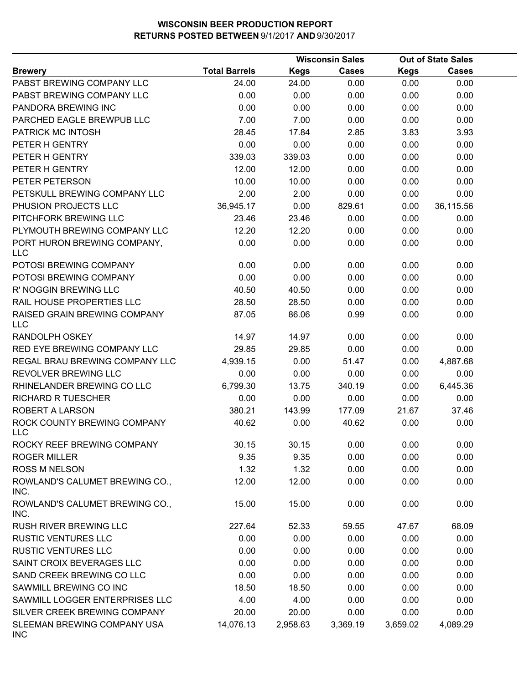|                                            |                      |             | <b>Wisconsin Sales</b> |             | <b>Out of State Sales</b> |  |
|--------------------------------------------|----------------------|-------------|------------------------|-------------|---------------------------|--|
| <b>Brewery</b>                             | <b>Total Barrels</b> | <b>Kegs</b> | <b>Cases</b>           | <b>Kegs</b> | Cases                     |  |
| PABST BREWING COMPANY LLC                  | 24.00                | 24.00       | 0.00                   | 0.00        | 0.00                      |  |
| PABST BREWING COMPANY LLC                  | 0.00                 | 0.00        | 0.00                   | 0.00        | 0.00                      |  |
| PANDORA BREWING INC                        | 0.00                 | 0.00        | 0.00                   | 0.00        | 0.00                      |  |
| PARCHED EAGLE BREWPUB LLC                  | 7.00                 | 7.00        | 0.00                   | 0.00        | 0.00                      |  |
| PATRICK MC INTOSH                          | 28.45                | 17.84       | 2.85                   | 3.83        | 3.93                      |  |
| PETER H GENTRY                             | 0.00                 | 0.00        | 0.00                   | 0.00        | 0.00                      |  |
| PETER H GENTRY                             | 339.03               | 339.03      | 0.00                   | 0.00        | 0.00                      |  |
| PETER H GENTRY                             | 12.00                | 12.00       | 0.00                   | 0.00        | 0.00                      |  |
| PETER PETERSON                             | 10.00                | 10.00       | 0.00                   | 0.00        | 0.00                      |  |
| PETSKULL BREWING COMPANY LLC               | 2.00                 | 2.00        | 0.00                   | 0.00        | 0.00                      |  |
| PHUSION PROJECTS LLC                       | 36,945.17            | 0.00        | 829.61                 | 0.00        | 36,115.56                 |  |
| PITCHFORK BREWING LLC                      | 23.46                | 23.46       | 0.00                   | 0.00        | 0.00                      |  |
| PLYMOUTH BREWING COMPANY LLC               | 12.20                | 12.20       | 0.00                   | 0.00        | 0.00                      |  |
| PORT HURON BREWING COMPANY,<br><b>LLC</b>  | 0.00                 | 0.00        | 0.00                   | 0.00        | 0.00                      |  |
| POTOSI BREWING COMPANY                     | 0.00                 | 0.00        | 0.00                   | 0.00        | 0.00                      |  |
| POTOSI BREWING COMPANY                     | 0.00                 | 0.00        | 0.00                   | 0.00        | 0.00                      |  |
| R' NOGGIN BREWING LLC                      | 40.50                | 40.50       | 0.00                   | 0.00        | 0.00                      |  |
| RAIL HOUSE PROPERTIES LLC                  | 28.50                | 28.50       | 0.00                   | 0.00        | 0.00                      |  |
| RAISED GRAIN BREWING COMPANY<br><b>LLC</b> | 87.05                | 86.06       | 0.99                   | 0.00        | 0.00                      |  |
| RANDOLPH OSKEY                             | 14.97                | 14.97       | 0.00                   | 0.00        | 0.00                      |  |
| RED EYE BREWING COMPANY LLC                | 29.85                | 29.85       | 0.00                   | 0.00        | 0.00                      |  |
| REGAL BRAU BREWING COMPANY LLC             | 4,939.15             | 0.00        | 51.47                  | 0.00        | 4,887.68                  |  |
| REVOLVER BREWING LLC                       | 0.00                 | 0.00        | 0.00                   | 0.00        | 0.00                      |  |
| RHINELANDER BREWING CO LLC                 | 6,799.30             | 13.75       | 340.19                 | 0.00        | 6,445.36                  |  |
| <b>RICHARD R TUESCHER</b>                  | 0.00                 | 0.00        | 0.00                   | 0.00        | 0.00                      |  |
| <b>ROBERT A LARSON</b>                     | 380.21               | 143.99      | 177.09                 | 21.67       | 37.46                     |  |
| ROCK COUNTY BREWING COMPANY<br>LLC         | 40.62                | 0.00        | 40.62                  | 0.00        | 0.00                      |  |
| ROCKY REEF BREWING COMPANY                 | 30.15                | 30.15       | 0.00                   | 0.00        | 0.00                      |  |
| <b>ROGER MILLER</b>                        | 9.35                 | 9.35        | 0.00                   | 0.00        | 0.00                      |  |
| <b>ROSS M NELSON</b>                       | 1.32                 | 1.32        | 0.00                   | 0.00        | 0.00                      |  |
| ROWLAND'S CALUMET BREWING CO.,<br>INC.     | 12.00                | 12.00       | 0.00                   | 0.00        | 0.00                      |  |
| ROWLAND'S CALUMET BREWING CO.,<br>INC.     | 15.00                | 15.00       | 0.00                   | 0.00        | 0.00                      |  |
| RUSH RIVER BREWING LLC                     | 227.64               | 52.33       | 59.55                  | 47.67       | 68.09                     |  |
| <b>RUSTIC VENTURES LLC</b>                 | 0.00                 | 0.00        | 0.00                   | 0.00        | 0.00                      |  |
| <b>RUSTIC VENTURES LLC</b>                 | 0.00                 | 0.00        | 0.00                   | 0.00        | 0.00                      |  |
| SAINT CROIX BEVERAGES LLC                  | 0.00                 | 0.00        | 0.00                   | 0.00        | 0.00                      |  |
| SAND CREEK BREWING CO LLC                  | 0.00                 | 0.00        | 0.00                   | 0.00        | 0.00                      |  |
| SAWMILL BREWING CO INC                     | 18.50                | 18.50       | 0.00                   | 0.00        | 0.00                      |  |
| SAWMILL LOGGER ENTERPRISES LLC             | 4.00                 | 4.00        | 0.00                   | 0.00        | 0.00                      |  |
| SILVER CREEK BREWING COMPANY               | 20.00                | 20.00       | 0.00                   | 0.00        | 0.00                      |  |
| SLEEMAN BREWING COMPANY USA<br><b>INC</b>  | 14,076.13            | 2,958.63    | 3,369.19               | 3,659.02    | 4,089.29                  |  |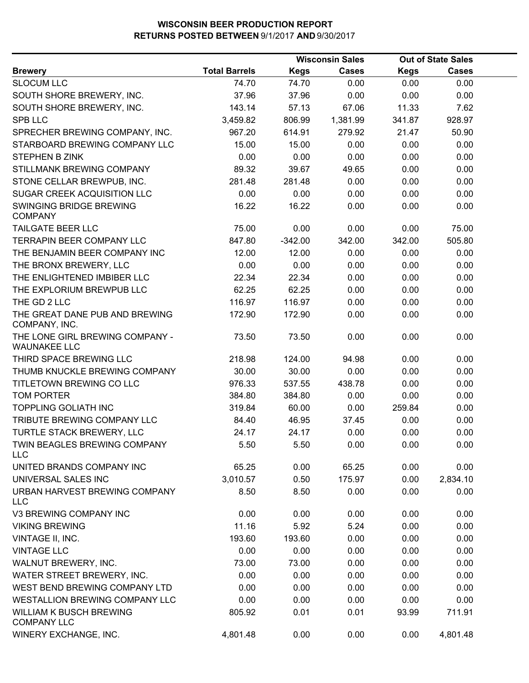|                                                        |                      |             | <b>Wisconsin Sales</b> |             | <b>Out of State Sales</b> |  |
|--------------------------------------------------------|----------------------|-------------|------------------------|-------------|---------------------------|--|
| <b>Brewery</b>                                         | <b>Total Barrels</b> | <b>Kegs</b> | <b>Cases</b>           | <b>Kegs</b> | <b>Cases</b>              |  |
| <b>SLOCUM LLC</b>                                      | 74.70                | 74.70       | 0.00                   | 0.00        | 0.00                      |  |
| SOUTH SHORE BREWERY, INC.                              | 37.96                | 37.96       | 0.00                   | 0.00        | 0.00                      |  |
| SOUTH SHORE BREWERY, INC.                              | 143.14               | 57.13       | 67.06                  | 11.33       | 7.62                      |  |
| <b>SPB LLC</b>                                         | 3,459.82             | 806.99      | 1,381.99               | 341.87      | 928.97                    |  |
| SPRECHER BREWING COMPANY, INC.                         | 967.20               | 614.91      | 279.92                 | 21.47       | 50.90                     |  |
| STARBOARD BREWING COMPANY LLC                          | 15.00                | 15.00       | 0.00                   | 0.00        | 0.00                      |  |
| <b>STEPHEN B ZINK</b>                                  | 0.00                 | 0.00        | 0.00                   | 0.00        | 0.00                      |  |
| STILLMANK BREWING COMPANY                              | 89.32                | 39.67       | 49.65                  | 0.00        | 0.00                      |  |
| STONE CELLAR BREWPUB, INC.                             | 281.48               | 281.48      | 0.00                   | 0.00        | 0.00                      |  |
| SUGAR CREEK ACQUISITION LLC                            | 0.00                 | 0.00        | 0.00                   | 0.00        | 0.00                      |  |
| SWINGING BRIDGE BREWING<br><b>COMPANY</b>              | 16.22                | 16.22       | 0.00                   | 0.00        | 0.00                      |  |
| <b>TAILGATE BEER LLC</b>                               | 75.00                | 0.00        | 0.00                   | 0.00        | 75.00                     |  |
| <b>TERRAPIN BEER COMPANY LLC</b>                       | 847.80               | $-342.00$   | 342.00                 | 342.00      | 505.80                    |  |
| THE BENJAMIN BEER COMPANY INC                          | 12.00                | 12.00       | 0.00                   | 0.00        | 0.00                      |  |
| THE BRONX BREWERY, LLC                                 | 0.00                 | 0.00        | 0.00                   | 0.00        | 0.00                      |  |
| THE ENLIGHTENED IMBIBER LLC                            | 22.34                | 22.34       | 0.00                   | 0.00        | 0.00                      |  |
| THE EXPLORIUM BREWPUB LLC                              | 62.25                | 62.25       | 0.00                   | 0.00        | 0.00                      |  |
| THE GD 2 LLC                                           | 116.97               | 116.97      | 0.00                   | 0.00        | 0.00                      |  |
| THE GREAT DANE PUB AND BREWING<br>COMPANY, INC.        | 172.90               | 172.90      | 0.00                   | 0.00        | 0.00                      |  |
| THE LONE GIRL BREWING COMPANY -<br><b>WAUNAKEE LLC</b> | 73.50                | 73.50       | 0.00                   | 0.00        | 0.00                      |  |
| THIRD SPACE BREWING LLC                                | 218.98               | 124.00      | 94.98                  | 0.00        | 0.00                      |  |
| THUMB KNUCKLE BREWING COMPANY                          | 30.00                | 30.00       | 0.00                   | 0.00        | 0.00                      |  |
| TITLETOWN BREWING CO LLC                               | 976.33               | 537.55      | 438.78                 | 0.00        | 0.00                      |  |
| <b>TOM PORTER</b>                                      | 384.80               | 384.80      | 0.00                   | 0.00        | 0.00                      |  |
| <b>TOPPLING GOLIATH INC</b>                            | 319.84               | 60.00       | 0.00                   | 259.84      | 0.00                      |  |
| TRIBUTE BREWING COMPANY LLC                            | 84.40                | 46.95       | 37.45                  | 0.00        | 0.00                      |  |
| TURTLE STACK BREWERY, LLC                              | 24.17                | 24.17       | 0.00                   | 0.00        | 0.00                      |  |
| TWIN BEAGLES BREWING COMPANY<br>LLC                    | 5.50                 | 5.50        | 0.00                   | 0.00        | 0.00                      |  |
| UNITED BRANDS COMPANY INC                              | 65.25                | 0.00        | 65.25                  | 0.00        | 0.00                      |  |
| UNIVERSAL SALES INC                                    | 3,010.57             | 0.50        | 175.97                 | 0.00        | 2,834.10                  |  |
| URBAN HARVEST BREWING COMPANY<br><b>LLC</b>            | 8.50                 | 8.50        | 0.00                   | 0.00        | 0.00                      |  |
| V3 BREWING COMPANY INC                                 | 0.00                 | 0.00        | 0.00                   | 0.00        | 0.00                      |  |
| <b>VIKING BREWING</b>                                  | 11.16                | 5.92        | 5.24                   | 0.00        | 0.00                      |  |
| VINTAGE II, INC.                                       | 193.60               | 193.60      | 0.00                   | 0.00        | 0.00                      |  |
| <b>VINTAGE LLC</b>                                     | 0.00                 | 0.00        | 0.00                   | 0.00        | 0.00                      |  |
| WALNUT BREWERY, INC.                                   | 73.00                | 73.00       | 0.00                   | 0.00        | 0.00                      |  |
| WATER STREET BREWERY, INC.                             | 0.00                 | 0.00        | 0.00                   | 0.00        | 0.00                      |  |
| WEST BEND BREWING COMPANY LTD                          | 0.00                 | 0.00        | 0.00                   | 0.00        | 0.00                      |  |
| WESTALLION BREWING COMPANY LLC                         | 0.00                 | 0.00        | 0.00                   | 0.00        | 0.00                      |  |
| <b>WILLIAM K BUSCH BREWING</b><br><b>COMPANY LLC</b>   | 805.92               | 0.01        | 0.01                   | 93.99       | 711.91                    |  |
| WINERY EXCHANGE, INC.                                  | 4,801.48             | 0.00        | 0.00                   | 0.00        | 4,801.48                  |  |